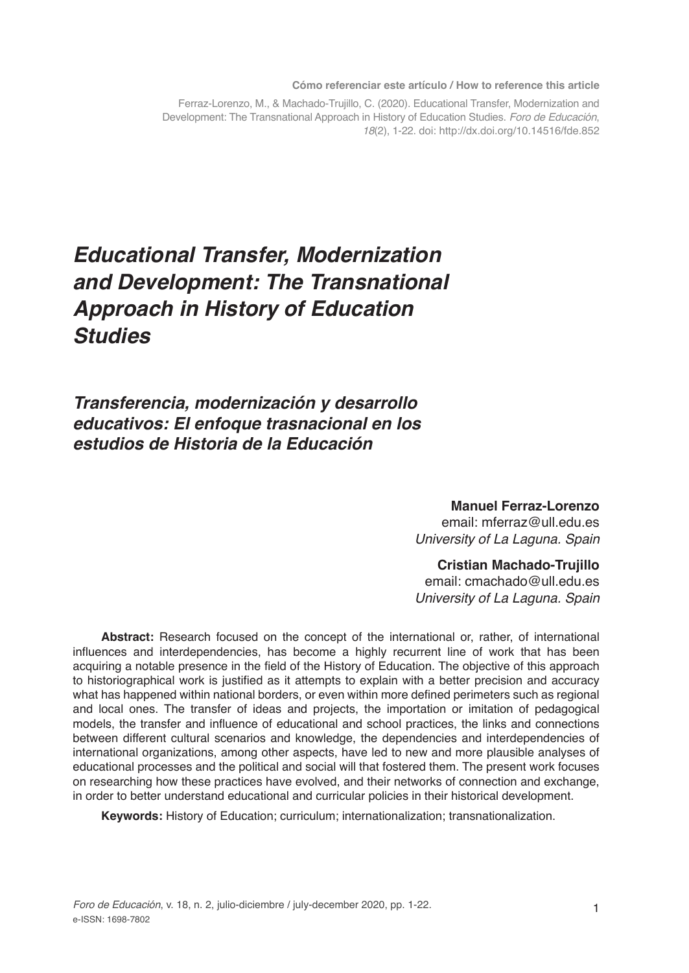**Cómo referenciar este artículo / How to reference this article**

Ferraz-Lorenzo, M., & Machado-Trujillo, C. (2020). Educational Transfer, Modernization and Development: The Transnational Approach in History of Education Studies. *Foro de Educación*, *18*(2), 1-22. doi: http://dx.doi.org/10.14516/fde.852

# *Educational Transfer, Modernization and Development: The Transnational Approach in History of Education Studies*

*Transferencia, modernización y desarrollo educativos: El enfoque trasnacional en los estudios de Historia de la Educación*

> **Manuel Ferraz-Lorenzo** email: mferraz@ull.edu.es *University of La Laguna. Spain*

#### **Cristian Machado-Trujillo**

email: cmachado@ull.edu.es *University of La Laguna. Spain*

**Abstract:** Research focused on the concept of the international or, rather, of international influences and interdependencies, has become a highly recurrent line of work that has been acquiring a notable presence in the field of the History of Education. The objective of this approach to historiographical work is justified as it attempts to explain with a better precision and accuracy what has happened within national borders, or even within more defined perimeters such as regional and local ones. The transfer of ideas and projects, the importation or imitation of pedagogical models, the transfer and influence of educational and school practices, the links and connections between different cultural scenarios and knowledge, the dependencies and interdependencies of international organizations, among other aspects, have led to new and more plausible analyses of educational processes and the political and social will that fostered them. The present work focuses on researching how these practices have evolved, and their networks of connection and exchange, in order to better understand educational and curricular policies in their historical development.

**Keywords:** History of Education; curriculum; internationalization; transnationalization.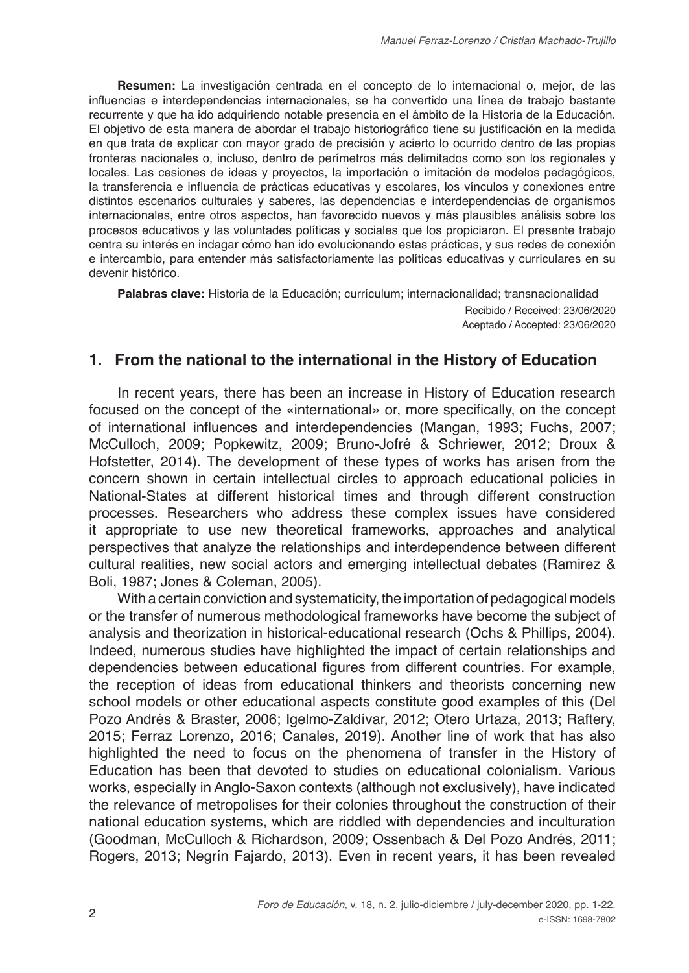**Resumen:** La investigación centrada en el concepto de lo internacional o, mejor, de las influencias e interdependencias internacionales, se ha convertido una línea de trabajo bastante recurrente y que ha ido adquiriendo notable presencia en el ámbito de la Historia de la Educación. El objetivo de esta manera de abordar el trabajo historiográfico tiene su justificación en la medida en que trata de explicar con mayor grado de precisión y acierto lo ocurrido dentro de las propias fronteras nacionales o, incluso, dentro de perímetros más delimitados como son los regionales y locales. Las cesiones de ideas y proyectos, la importación o imitación de modelos pedagógicos, la transferencia e influencia de prácticas educativas y escolares, los vínculos y conexiones entre distintos escenarios culturales y saberes, las dependencias e interdependencias de organismos internacionales, entre otros aspectos, han favorecido nuevos y más plausibles análisis sobre los procesos educativos y las voluntades políticas y sociales que los propiciaron. El presente trabajo centra su interés en indagar cómo han ido evolucionando estas prácticas, y sus redes de conexión e intercambio, para entender más satisfactoriamente las políticas educativas y curriculares en su devenir histórico.

**Palabras clave:** Historia de la Educación; currículum; internacionalidad; transnacionalidad

Recibido / Received: 23/06/2020 Aceptado / Accepted: 23/06/2020

### **1. From the national to the international in the History of Education**

In recent years, there has been an increase in History of Education research focused on the concept of the «international» or, more specifically, on the concept of international influences and interdependencies (Mangan, 1993; Fuchs, 2007; McCulloch, 2009; Popkewitz, 2009; Bruno-Jofré & Schriewer, 2012; Droux & Hofstetter, 2014). The development of these types of works has arisen from the concern shown in certain intellectual circles to approach educational policies in National-States at different historical times and through different construction processes. Researchers who address these complex issues have considered it appropriate to use new theoretical frameworks, approaches and analytical perspectives that analyze the relationships and interdependence between different cultural realities, new social actors and emerging intellectual debates (Ramirez & Boli, 1987; Jones & Coleman, 2005).

With a certain conviction and systematicity, the importation of pedagogical models or the transfer of numerous methodological frameworks have become the subject of analysis and theorization in historical-educational research (Ochs & Phillips, 2004). Indeed, numerous studies have highlighted the impact of certain relationships and dependencies between educational figures from different countries. For example, the reception of ideas from educational thinkers and theorists concerning new school models or other educational aspects constitute good examples of this (Del Pozo Andrés & Braster, 2006; Igelmo-Zaldívar, 2012; Otero Urtaza, 2013; Raftery, 2015; Ferraz Lorenzo, 2016; Canales, 2019). Another line of work that has also highlighted the need to focus on the phenomena of transfer in the History of Education has been that devoted to studies on educational colonialism. Various works, especially in Anglo-Saxon contexts (although not exclusively), have indicated the relevance of metropolises for their colonies throughout the construction of their national education systems, which are riddled with dependencies and inculturation (Goodman, McCulloch & Richardson, 2009; Ossenbach & Del Pozo Andrés, 2011; Rogers, 2013; Negrín Fajardo, 2013). Even in recent years, it has been revealed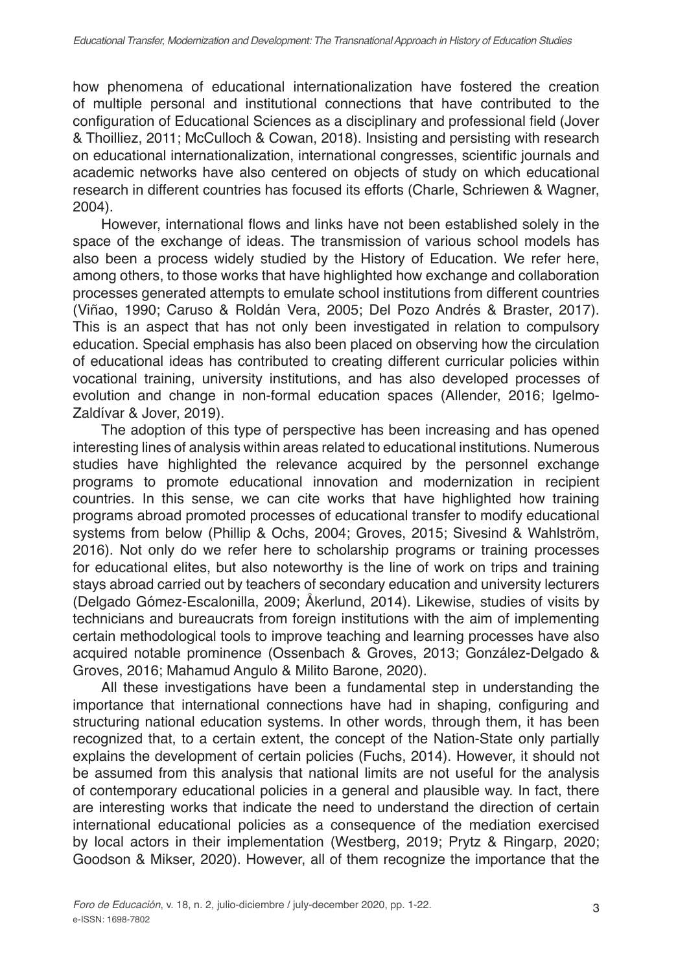how phenomena of educational internationalization have fostered the creation of multiple personal and institutional connections that have contributed to the configuration of Educational Sciences as a disciplinary and professional field (Jover & Thoilliez, 2011; McCulloch & Cowan, 2018). Insisting and persisting with research on educational internationalization, international congresses, scientific journals and academic networks have also centered on objects of study on which educational research in different countries has focused its efforts (Charle, Schriewen & Wagner, 2004).

However, international flows and links have not been established solely in the space of the exchange of ideas. The transmission of various school models has also been a process widely studied by the History of Education. We refer here, among others, to those works that have highlighted how exchange and collaboration processes generated attempts to emulate school institutions from different countries (Viñao, 1990; Caruso & Roldán Vera, 2005; Del Pozo Andrés & Braster, 2017). This is an aspect that has not only been investigated in relation to compulsory education. Special emphasis has also been placed on observing how the circulation of educational ideas has contributed to creating different curricular policies within vocational training, university institutions, and has also developed processes of evolution and change in non-formal education spaces (Allender, 2016; Igelmo-Zaldívar & Jover, 2019).

The adoption of this type of perspective has been increasing and has opened interesting lines of analysis within areas related to educational institutions. Numerous studies have highlighted the relevance acquired by the personnel exchange programs to promote educational innovation and modernization in recipient countries. In this sense, we can cite works that have highlighted how training programs abroad promoted processes of educational transfer to modify educational systems from below (Phillip & Ochs, 2004; Groves, 2015; Sivesind & Wahlström, 2016). Not only do we refer here to scholarship programs or training processes for educational elites, but also noteworthy is the line of work on trips and training stays abroad carried out by teachers of secondary education and university lecturers (Delgado Gómez-Escalonilla, 2009; Åkerlund, 2014). Likewise, studies of visits by technicians and bureaucrats from foreign institutions with the aim of implementing certain methodological tools to improve teaching and learning processes have also acquired notable prominence (Ossenbach & Groves, 2013; González-Delgado & Groves, 2016; Mahamud Angulo & Milito Barone, 2020).

All these investigations have been a fundamental step in understanding the importance that international connections have had in shaping, configuring and structuring national education systems. In other words, through them, it has been recognized that, to a certain extent, the concept of the Nation-State only partially explains the development of certain policies (Fuchs, 2014). However, it should not be assumed from this analysis that national limits are not useful for the analysis of contemporary educational policies in a general and plausible way. In fact, there are interesting works that indicate the need to understand the direction of certain international educational policies as a consequence of the mediation exercised by local actors in their implementation (Westberg, 2019; Prytz & Ringarp, 2020; Goodson & Mikser, 2020). However, all of them recognize the importance that the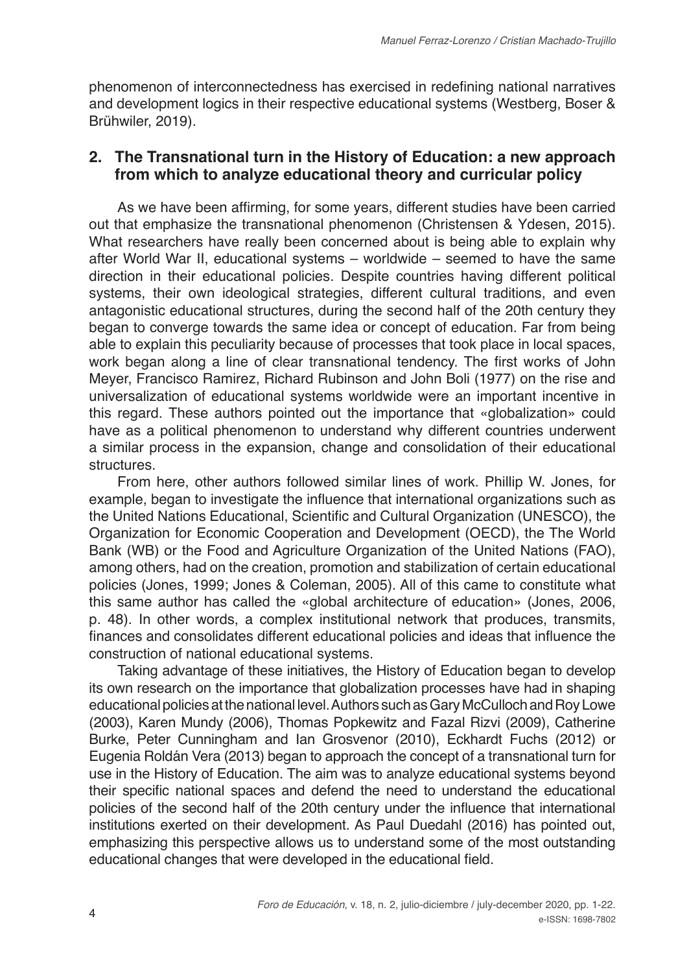phenomenon of interconnectedness has exercised in redefining national narratives and development logics in their respective educational systems (Westberg, Boser & Brühwiler, 2019).

# **2. The Transnational turn in the History of Education: a new approach from which to analyze educational theory and curricular policy**

As we have been affirming, for some years, different studies have been carried out that emphasize the transnational phenomenon (Christensen & Ydesen, 2015). What researchers have really been concerned about is being able to explain why after World War II, educational systems – worldwide – seemed to have the same direction in their educational policies. Despite countries having different political systems, their own ideological strategies, different cultural traditions, and even antagonistic educational structures, during the second half of the 20th century they began to converge towards the same idea or concept of education. Far from being able to explain this peculiarity because of processes that took place in local spaces, work began along a line of clear transnational tendency. The first works of John Meyer, Francisco Ramirez, Richard Rubinson and John Boli (1977) on the rise and universalization of educational systems worldwide were an important incentive in this regard. These authors pointed out the importance that «globalization» could have as a political phenomenon to understand why different countries underwent a similar process in the expansion, change and consolidation of their educational **structures** 

From here, other authors followed similar lines of work. Phillip W. Jones, for example, began to investigate the influence that international organizations such as the United Nations Educational, Scientific and Cultural Organization (UNESCO), the Organization for Economic Cooperation and Development (OECD), the The World Bank (WB) or the Food and Agriculture Organization of the United Nations (FAO), among others, had on the creation, promotion and stabilization of certain educational policies (Jones, 1999; Jones & Coleman, 2005). All of this came to constitute what this same author has called the «global architecture of education» (Jones, 2006, p. 48). In other words, a complex institutional network that produces, transmits, finances and consolidates different educational policies and ideas that influence the construction of national educational systems.

Taking advantage of these initiatives, the History of Education began to develop its own research on the importance that globalization processes have had in shaping educational policies at the national level. Authors such as Gary McCulloch and Roy Lowe (2003), Karen Mundy (2006), Thomas Popkewitz and Fazal Rizvi (2009), Catherine Burke, Peter Cunningham and Ian Grosvenor (2010), Eckhardt Fuchs (2012) or Eugenia Roldán Vera (2013) began to approach the concept of a transnational turn for use in the History of Education. The aim was to analyze educational systems beyond their specific national spaces and defend the need to understand the educational policies of the second half of the 20th century under the influence that international institutions exerted on their development. As Paul Duedahl (2016) has pointed out, emphasizing this perspective allows us to understand some of the most outstanding educational changes that were developed in the educational field.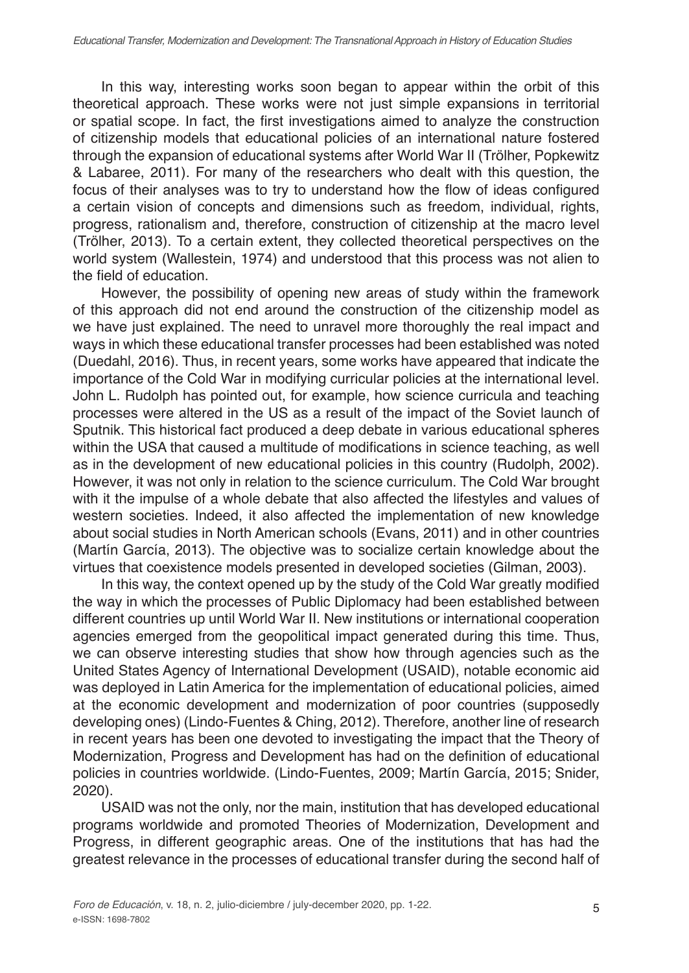In this way, interesting works soon began to appear within the orbit of this theoretical approach. These works were not just simple expansions in territorial or spatial scope. In fact, the first investigations aimed to analyze the construction of citizenship models that educational policies of an international nature fostered through the expansion of educational systems after World War II (Trölher, Popkewitz & Labaree, 2011). For many of the researchers who dealt with this question, the focus of their analyses was to try to understand how the flow of ideas configured a certain vision of concepts and dimensions such as freedom, individual, rights, progress, rationalism and, therefore, construction of citizenship at the macro level (Trölher, 2013). To a certain extent, they collected theoretical perspectives on the world system (Wallestein, 1974) and understood that this process was not alien to the field of education.

However, the possibility of opening new areas of study within the framework of this approach did not end around the construction of the citizenship model as we have just explained. The need to unravel more thoroughly the real impact and ways in which these educational transfer processes had been established was noted (Duedahl, 2016). Thus, in recent years, some works have appeared that indicate the importance of the Cold War in modifying curricular policies at the international level. John L. Rudolph has pointed out, for example, how science curricula and teaching processes were altered in the US as a result of the impact of the Soviet launch of Sputnik. This historical fact produced a deep debate in various educational spheres within the USA that caused a multitude of modifications in science teaching, as well as in the development of new educational policies in this country (Rudolph, 2002). However, it was not only in relation to the science curriculum. The Cold War brought with it the impulse of a whole debate that also affected the lifestyles and values of western societies. Indeed, it also affected the implementation of new knowledge about social studies in North American schools (Evans, 2011) and in other countries (Martín García, 2013). The objective was to socialize certain knowledge about the virtues that coexistence models presented in developed societies (Gilman, 2003).

In this way, the context opened up by the study of the Cold War greatly modified the way in which the processes of Public Diplomacy had been established between different countries up until World War II. New institutions or international cooperation agencies emerged from the geopolitical impact generated during this time. Thus, we can observe interesting studies that show how through agencies such as the United States Agency of International Development (USAID), notable economic aid was deployed in Latin America for the implementation of educational policies, aimed at the economic development and modernization of poor countries (supposedly developing ones) (Lindo-Fuentes & Ching, 2012). Therefore, another line of research in recent years has been one devoted to investigating the impact that the Theory of Modernization, Progress and Development has had on the definition of educational policies in countries worldwide. (Lindo-Fuentes, 2009; Martín García, 2015; Snider, 2020).

USAID was not the only, nor the main, institution that has developed educational programs worldwide and promoted Theories of Modernization, Development and Progress, in different geographic areas. One of the institutions that has had the greatest relevance in the processes of educational transfer during the second half of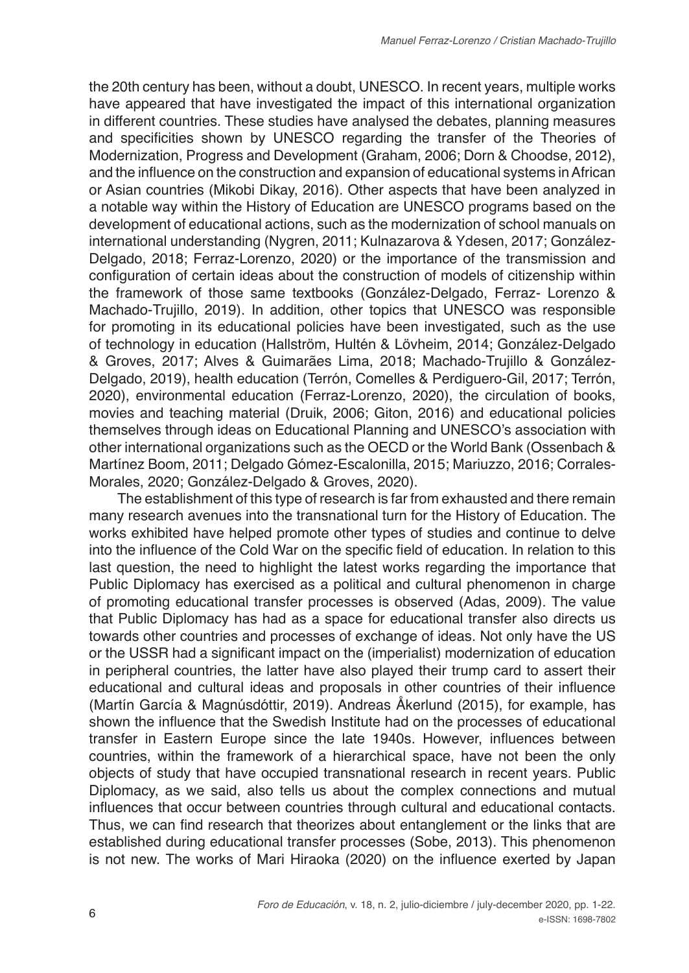the 20th century has been, without a doubt, UNESCO. In recent years, multiple works have appeared that have investigated the impact of this international organization in different countries. These studies have analysed the debates, planning measures and specificities shown by UNESCO regarding the transfer of the Theories of Modernization, Progress and Development (Graham, 2006; Dorn & Choodse, 2012), and the influence on the construction and expansion of educational systems in African or Asian countries (Mikobi Dikay, 2016). Other aspects that have been analyzed in a notable way within the History of Education are UNESCO programs based on the development of educational actions, such as the modernization of school manuals on international understanding (Nygren, 2011; Kulnazarova & Ydesen, 2017; González-Delgado, 2018; Ferraz-Lorenzo, 2020) or the importance of the transmission and configuration of certain ideas about the construction of models of citizenship within the framework of those same textbooks (González-Delgado, Ferraz- Lorenzo & Machado-Trujillo, 2019). In addition, other topics that UNESCO was responsible for promoting in its educational policies have been investigated, such as the use of technology in education (Hallström, Hultén & Lövheim, 2014; González-Delgado & Groves, 2017; Alves & Guimarães Lima, 2018; Machado-Trujillo & González-Delgado, 2019), health education (Terrón, Comelles & Perdiguero-Gil, 2017; Terrón, 2020), environmental education (Ferraz-Lorenzo, 2020), the circulation of books, movies and teaching material (Druik, 2006; Giton, 2016) and educational policies themselves through ideas on Educational Planning and UNESCO's association with other international organizations such as the OECD or the World Bank (Ossenbach & Martínez Boom, 2011; Delgado Gómez-Escalonilla, 2015; Mariuzzo, 2016; Corrales-Morales, 2020; González-Delgado & Groves, 2020).

The establishment of this type of research is far from exhausted and there remain many research avenues into the transnational turn for the History of Education. The works exhibited have helped promote other types of studies and continue to delve into the influence of the Cold War on the specific field of education. In relation to this last question, the need to highlight the latest works regarding the importance that Public Diplomacy has exercised as a political and cultural phenomenon in charge of promoting educational transfer processes is observed (Adas, 2009). The value that Public Diplomacy has had as a space for educational transfer also directs us towards other countries and processes of exchange of ideas. Not only have the US or the USSR had a significant impact on the (imperialist) modernization of education in peripheral countries, the latter have also played their trump card to assert their educational and cultural ideas and proposals in other countries of their influence (Martín García & Magnúsdóttir, 2019). Andreas Åkerlund (2015), for example, has shown the influence that the Swedish Institute had on the processes of educational transfer in Eastern Europe since the late 1940s. However, influences between countries, within the framework of a hierarchical space, have not been the only objects of study that have occupied transnational research in recent years. Public Diplomacy, as we said, also tells us about the complex connections and mutual influences that occur between countries through cultural and educational contacts. Thus, we can find research that theorizes about entanglement or the links that are established during educational transfer processes (Sobe, 2013). This phenomenon is not new. The works of Mari Hiraoka (2020) on the influence exerted by Japan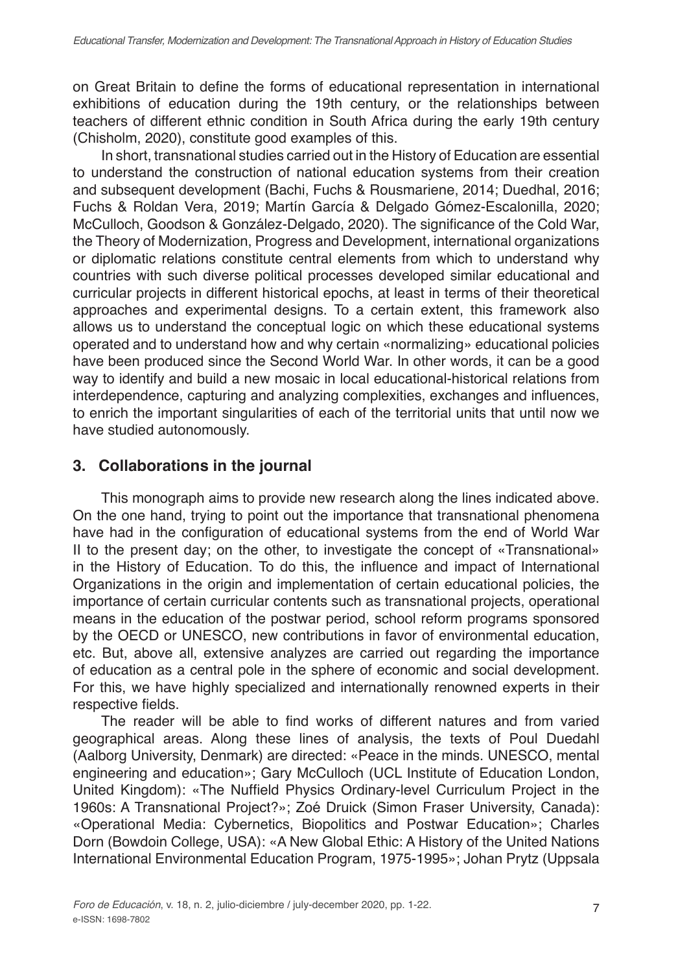on Great Britain to define the forms of educational representation in international exhibitions of education during the 19th century, or the relationships between teachers of different ethnic condition in South Africa during the early 19th century (Chisholm, 2020), constitute good examples of this.

In short, transnational studies carried out in the History of Education are essential to understand the construction of national education systems from their creation and subsequent development (Bachi, Fuchs & Rousmariene, 2014; Duedhal, 2016; Fuchs & Roldan Vera, 2019; Martín García & Delgado Gómez-Escalonilla, 2020; McCulloch, Goodson & González-Delgado, 2020). The significance of the Cold War, the Theory of Modernization, Progress and Development, international organizations or diplomatic relations constitute central elements from which to understand why countries with such diverse political processes developed similar educational and curricular projects in different historical epochs, at least in terms of their theoretical approaches and experimental designs. To a certain extent, this framework also allows us to understand the conceptual logic on which these educational systems operated and to understand how and why certain «normalizing» educational policies have been produced since the Second World War. In other words, it can be a good way to identify and build a new mosaic in local educational-historical relations from interdependence, capturing and analyzing complexities, exchanges and influences, to enrich the important singularities of each of the territorial units that until now we have studied autonomously.

# **3. Collaborations in the journal**

This monograph aims to provide new research along the lines indicated above. On the one hand, trying to point out the importance that transnational phenomena have had in the configuration of educational systems from the end of World War II to the present day; on the other, to investigate the concept of «Transnational» in the History of Education. To do this, the influence and impact of International Organizations in the origin and implementation of certain educational policies, the importance of certain curricular contents such as transnational projects, operational means in the education of the postwar period, school reform programs sponsored by the OECD or UNESCO, new contributions in favor of environmental education, etc. But, above all, extensive analyzes are carried out regarding the importance of education as a central pole in the sphere of economic and social development. For this, we have highly specialized and internationally renowned experts in their respective fields.

The reader will be able to find works of different natures and from varied geographical areas. Along these lines of analysis, the texts of Poul Duedahl (Aalborg University, Denmark) are directed: «Peace in the minds. UNESCO, mental engineering and education»; Gary McCulloch (UCL Institute of Education London, United Kingdom): «The Nuffield Physics Ordinary-level Curriculum Project in the 1960s: A Transnational Project?»; Zoé Druick (Simon Fraser University, Canada): «Operational Media: Cybernetics, Biopolitics and Postwar Education»; Charles Dorn (Bowdoin College, USA): «A New Global Ethic: A History of the United Nations International Environmental Education Program, 1975-1995»; Johan Prytz (Uppsala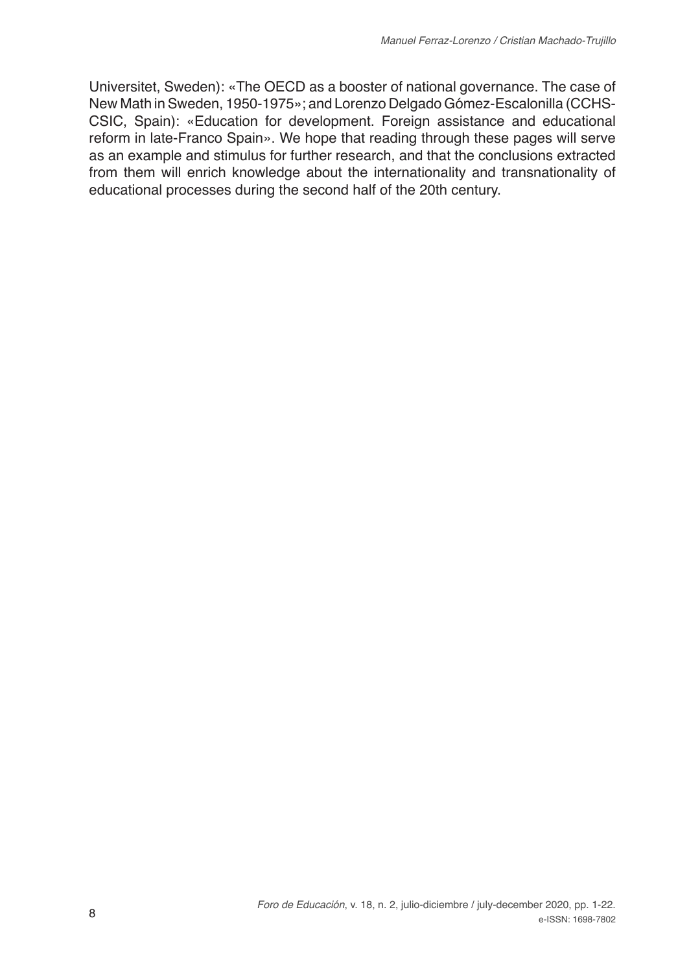Universitet, Sweden): «The OECD as a booster of national governance. The case of New Math in Sweden, 1950-1975»; and Lorenzo Delgado Gómez-Escalonilla (CCHS-CSIC, Spain): «Education for development. Foreign assistance and educational reform in late-Franco Spain». We hope that reading through these pages will serve as an example and stimulus for further research, and that the conclusions extracted from them will enrich knowledge about the internationality and transnationality of educational processes during the second half of the 20th century.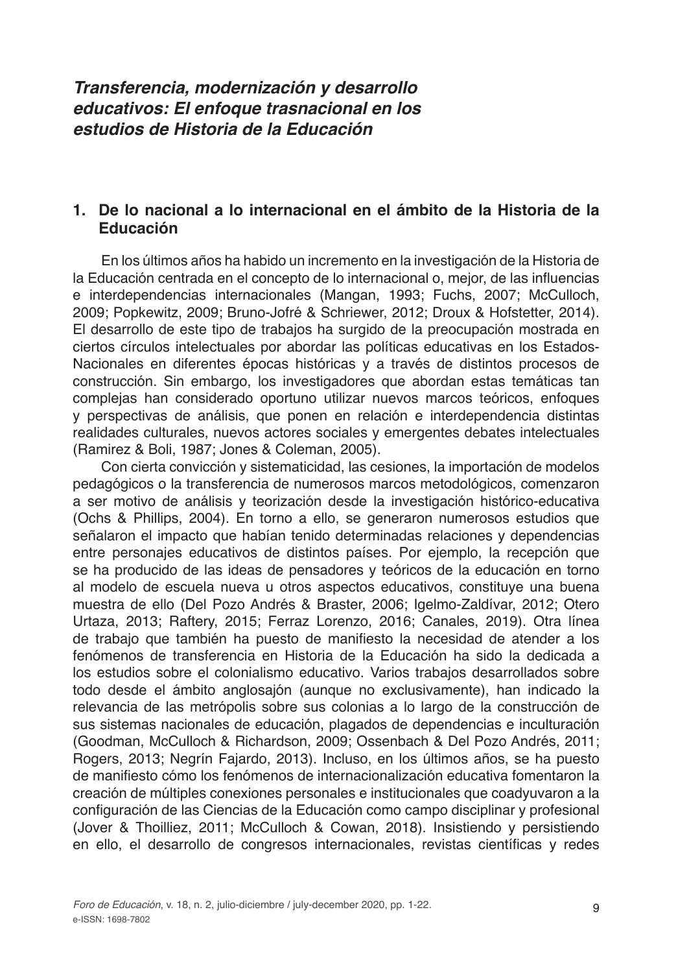# *Transferencia, modernización y desarrollo educativos: El enfoque trasnacional en los estudios de Historia de la Educación*

# **1. De lo nacional a lo internacional en el ámbito de la Historia de la Educación**

En los últimos años ha habido un incremento en la investigación de la Historia de la Educación centrada en el concepto de lo internacional o, mejor, de las influencias e interdependencias internacionales (Mangan, 1993; Fuchs, 2007; McCulloch, 2009; Popkewitz, 2009; Bruno-Jofré & Schriewer, 2012; Droux & Hofstetter, 2014). El desarrollo de este tipo de trabajos ha surgido de la preocupación mostrada en ciertos círculos intelectuales por abordar las políticas educativas en los Estados-Nacionales en diferentes épocas históricas y a través de distintos procesos de construcción. Sin embargo, los investigadores que abordan estas temáticas tan complejas han considerado oportuno utilizar nuevos marcos teóricos, enfoques y perspectivas de análisis, que ponen en relación e interdependencia distintas realidades culturales, nuevos actores sociales y emergentes debates intelectuales (Ramirez & Boli, 1987; Jones & Coleman, 2005).

Con cierta convicción y sistematicidad, las cesiones, la importación de modelos pedagógicos o la transferencia de numerosos marcos metodológicos, comenzaron a ser motivo de análisis y teorización desde la investigación histórico-educativa (Ochs & Phillips, 2004). En torno a ello, se generaron numerosos estudios que señalaron el impacto que habían tenido determinadas relaciones y dependencias entre personajes educativos de distintos países. Por ejemplo, la recepción que se ha producido de las ideas de pensadores y teóricos de la educación en torno al modelo de escuela nueva u otros aspectos educativos, constituye una buena muestra de ello (Del Pozo Andrés & Braster, 2006; Igelmo-Zaldívar, 2012; Otero Urtaza, 2013; Raftery, 2015; Ferraz Lorenzo, 2016; Canales, 2019). Otra línea de trabajo que también ha puesto de manifiesto la necesidad de atender a los fenómenos de transferencia en Historia de la Educación ha sido la dedicada a los estudios sobre el colonialismo educativo. Varios trabajos desarrollados sobre todo desde el ámbito anglosajón (aunque no exclusivamente), han indicado la relevancia de las metrópolis sobre sus colonias a lo largo de la construcción de sus sistemas nacionales de educación, plagados de dependencias e inculturación (Goodman, McCulloch & Richardson, 2009; Ossenbach & Del Pozo Andrés, 2011; Rogers, 2013; Negrín Fajardo, 2013). Incluso, en los últimos años, se ha puesto de manifiesto cómo los fenómenos de internacionalización educativa fomentaron la creación de múltiples conexiones personales e institucionales que coadyuvaron a la configuración de las Ciencias de la Educación como campo disciplinar y profesional (Jover & Thoilliez, 2011; McCulloch & Cowan, 2018). Insistiendo y persistiendo en ello, el desarrollo de congresos internacionales, revistas científicas y redes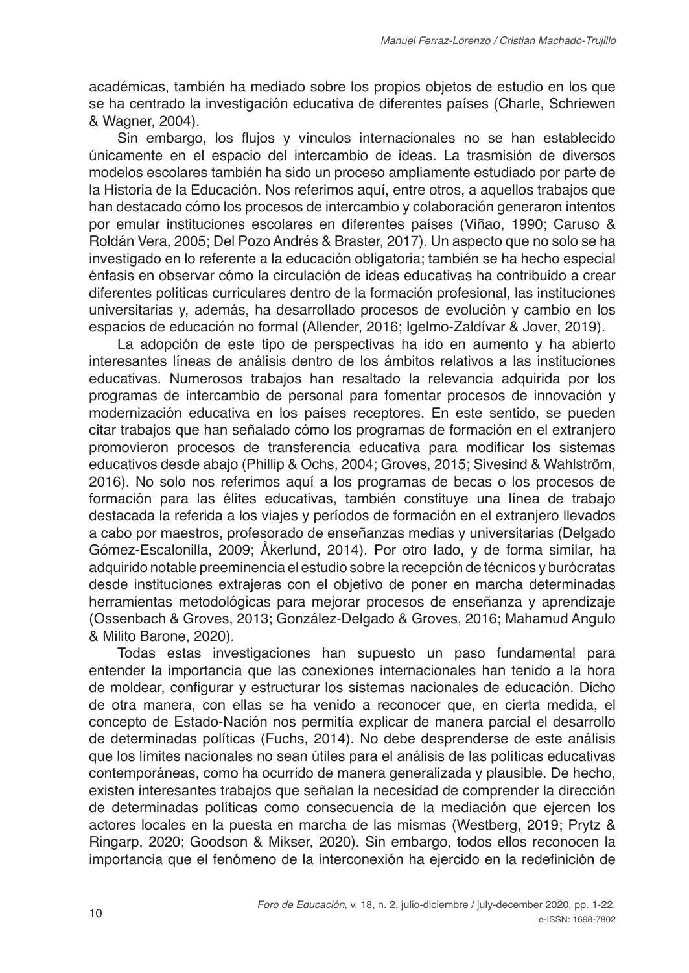académicas, también ha mediado sobre los propios objetos de estudio en los que se ha centrado la investigación educativa de diferentes países (Charle, Schriewen & Wagner, 2004).

Sin embargo, los flujos y vínculos internacionales no se han establecido únicamente en el espacio del intercambio de ideas. La trasmisión de diversos modelos escolares también ha sido un proceso ampliamente estudiado por parte de la Historia de la Educación. Nos referimos aquí, entre otros, a aquellos trabajos que han destacado cómo los procesos de intercambio y colaboración generaron intentos por emular instituciones escolares en diferentes países (Viñao, 1990; Caruso & Roldán Vera, 2005; Del Pozo Andrés & Braster, 2017). Un aspecto que no solo se ha investigado en lo referente a la educación obligatoria; también se ha hecho especial énfasis en observar cómo la circulación de ideas educativas ha contribuido a crear diferentes políticas curriculares dentro de la formación profesional, las instituciones universitarias y, además, ha desarrollado procesos de evolución y cambio en los espacios de educación no formal (Allender, 2016; Igelmo-Zaldívar & Jover, 2019).

La adopción de este tipo de perspectivas ha ido en aumento y ha abierto interesantes líneas de análisis dentro de los ámbitos relativos a las instituciones educativas. Numerosos trabajos han resaltado la relevancia adquirida por los programas de intercambio de personal para fomentar procesos de innovación y modernización educativa en los países receptores. En este sentido, se pueden citar trabajos que han señalado cómo los programas de formación en el extranjero promovieron procesos de transferencia educativa para modificar los sistemas educativos desde abajo (Phillip & Ochs, 2004; Groves, 2015; Sivesind & Wahlström, 2016). No solo nos referimos aquí a los programas de becas o los procesos de formación para las élites educativas, también constituye una línea de trabajo destacada la referida a los viajes y períodos de formación en el extranjero llevados a cabo por maestros, profesorado de enseñanzas medias y universitarias (Delgado Gómez-Escalonilla, 2009; Åkerlund, 2014). Por otro lado, y de forma similar, ha adquirido notable preeminencia el estudio sobre la recepción de técnicos y burócratas desde instituciones extrajeras con el objetivo de poner en marcha determinadas herramientas metodológicas para mejorar procesos de enseñanza y aprendizaje (Ossenbach & Groves, 2013; González-Delgado & Groves, 2016; Mahamud Angulo & Milito Barone, 2020).

Todas estas investigaciones han supuesto un paso fundamental para entender la importancia que las conexiones internacionales han tenido a la hora de moldear, configurar y estructurar los sistemas nacionales de educación. Dicho de otra manera, con ellas se ha venido a reconocer que, en cierta medida, el concepto de Estado-Nación nos permitía explicar de manera parcial el desarrollo de determinadas políticas (Fuchs, 2014). No debe desprenderse de este análisis que los límites nacionales no sean útiles para el análisis de las políticas educativas contemporáneas, como ha ocurrido de manera generalizada y plausible. De hecho, existen interesantes trabajos que señalan la necesidad de comprender la dirección de determinadas políticas como consecuencia de la mediación que ejercen los actores locales en la puesta en marcha de las mismas (Westberg, 2019; Prytz & Ringarp, 2020; Goodson & Mikser, 2020). Sin embargo, todos ellos reconocen la importancia que el fenómeno de la interconexión ha ejercido en la redefinición de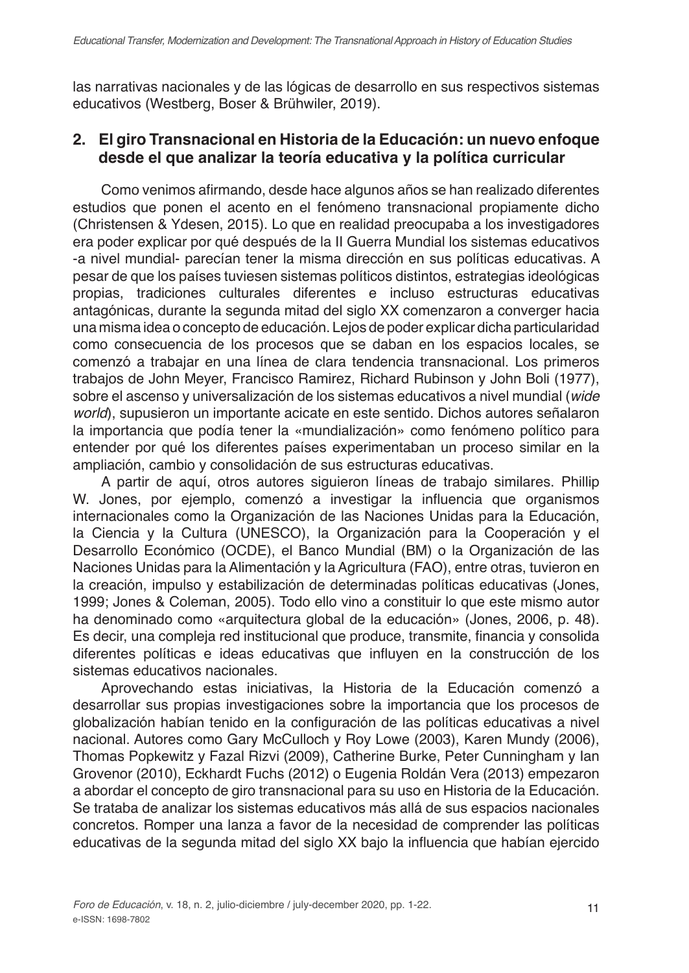las narrativas nacionales y de las lógicas de desarrollo en sus respectivos sistemas educativos (Westberg, Boser & Brühwiler, 2019).

# **2. El giro Transnacional en Historia de la Educación: un nuevo enfoque desde el que analizar la teoría educativa y la política curricular**

Como venimos afirmando, desde hace algunos años se han realizado diferentes estudios que ponen el acento en el fenómeno transnacional propiamente dicho (Christensen & Ydesen, 2015). Lo que en realidad preocupaba a los investigadores era poder explicar por qué después de la II Guerra Mundial los sistemas educativos -a nivel mundial- parecían tener la misma dirección en sus políticas educativas. A pesar de que los países tuviesen sistemas políticos distintos, estrategias ideológicas propias, tradiciones culturales diferentes e incluso estructuras educativas antagónicas, durante la segunda mitad del siglo XX comenzaron a converger hacia una misma idea o concepto de educación. Lejos de poder explicar dicha particularidad como consecuencia de los procesos que se daban en los espacios locales, se comenzó a trabajar en una línea de clara tendencia transnacional. Los primeros trabajos de John Meyer, Francisco Ramirez, Richard Rubinson y John Boli (1977), sobre el ascenso y universalización de los sistemas educativos a nivel mundial (*wide world*), supusieron un importante acicate en este sentido. Dichos autores señalaron la importancia que podía tener la «mundialización» como fenómeno político para entender por qué los diferentes países experimentaban un proceso similar en la ampliación, cambio y consolidación de sus estructuras educativas.

A partir de aquí, otros autores siguieron líneas de trabajo similares. Phillip W. Jones, por ejemplo, comenzó a investigar la influencia que organismos internacionales como la Organización de las Naciones Unidas para la Educación, la Ciencia y la Cultura (UNESCO), la Organización para la Cooperación y el Desarrollo Económico (OCDE), el Banco Mundial (BM) o la Organización de las Naciones Unidas para la Alimentación y la Agricultura (FAO), entre otras, tuvieron en la creación, impulso y estabilización de determinadas políticas educativas (Jones, 1999; Jones & Coleman, 2005). Todo ello vino a constituir lo que este mismo autor ha denominado como «arquitectura global de la educación» (Jones, 2006, p. 48). Es decir, una compleja red institucional que produce, transmite, financia y consolida diferentes políticas e ideas educativas que influyen en la construcción de los sistemas educativos nacionales.

Aprovechando estas iniciativas, la Historia de la Educación comenzó a desarrollar sus propias investigaciones sobre la importancia que los procesos de globalización habían tenido en la configuración de las políticas educativas a nivel nacional. Autores como Gary McCulloch y Roy Lowe (2003), Karen Mundy (2006), Thomas Popkewitz y Fazal Rizvi (2009), Catherine Burke, Peter Cunningham y Ian Grovenor (2010), Eckhardt Fuchs (2012) o Eugenia Roldán Vera (2013) empezaron a abordar el concepto de giro transnacional para su uso en Historia de la Educación. Se trataba de analizar los sistemas educativos más allá de sus espacios nacionales concretos. Romper una lanza a favor de la necesidad de comprender las políticas educativas de la segunda mitad del siglo XX bajo la influencia que habían ejercido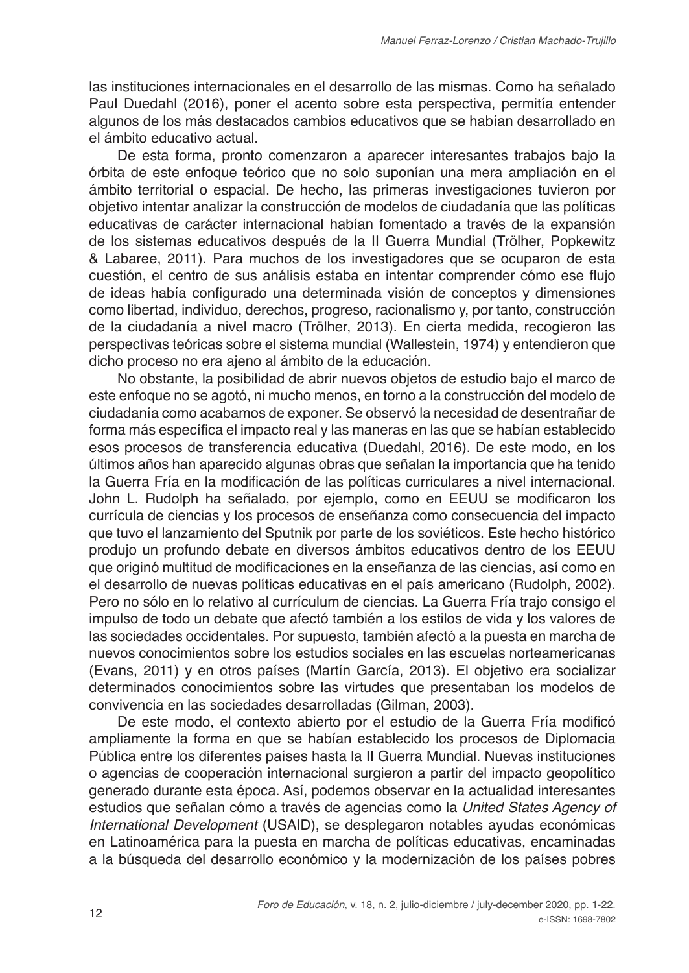las instituciones internacionales en el desarrollo de las mismas. Como ha señalado Paul Duedahl (2016), poner el acento sobre esta perspectiva, permitía entender algunos de los más destacados cambios educativos que se habían desarrollado en el ámbito educativo actual.

De esta forma, pronto comenzaron a aparecer interesantes trabajos bajo la órbita de este enfoque teórico que no solo suponían una mera ampliación en el ámbito territorial o espacial. De hecho, las primeras investigaciones tuvieron por objetivo intentar analizar la construcción de modelos de ciudadanía que las políticas educativas de carácter internacional habían fomentado a través de la expansión de los sistemas educativos después de la II Guerra Mundial (Trölher, Popkewitz & Labaree, 2011). Para muchos de los investigadores que se ocuparon de esta cuestión, el centro de sus análisis estaba en intentar comprender cómo ese flujo de ideas había configurado una determinada visión de conceptos y dimensiones como libertad, individuo, derechos, progreso, racionalismo y, por tanto, construcción de la ciudadanía a nivel macro (Trölher, 2013). En cierta medida, recogieron las perspectivas teóricas sobre el sistema mundial (Wallestein, 1974) y entendieron que dicho proceso no era ajeno al ámbito de la educación.

No obstante, la posibilidad de abrir nuevos objetos de estudio bajo el marco de este enfoque no se agotó, ni mucho menos, en torno a la construcción del modelo de ciudadanía como acabamos de exponer. Se observó la necesidad de desentrañar de forma más específica el impacto real y las maneras en las que se habían establecido esos procesos de transferencia educativa (Duedahl, 2016). De este modo, en los últimos años han aparecido algunas obras que señalan la importancia que ha tenido la Guerra Fría en la modificación de las políticas curriculares a nivel internacional. John L. Rudolph ha señalado, por ejemplo, como en EEUU se modificaron los currícula de ciencias y los procesos de enseñanza como consecuencia del impacto que tuvo el lanzamiento del Sputnik por parte de los soviéticos. Este hecho histórico produjo un profundo debate en diversos ámbitos educativos dentro de los EEUU que originó multitud de modificaciones en la enseñanza de las ciencias, así como en el desarrollo de nuevas políticas educativas en el país americano (Rudolph, 2002). Pero no sólo en lo relativo al currículum de ciencias. La Guerra Fría trajo consigo el impulso de todo un debate que afectó también a los estilos de vida y los valores de las sociedades occidentales. Por supuesto, también afectó a la puesta en marcha de nuevos conocimientos sobre los estudios sociales en las escuelas norteamericanas (Evans, 2011) y en otros países (Martín García, 2013). El objetivo era socializar determinados conocimientos sobre las virtudes que presentaban los modelos de convivencia en las sociedades desarrolladas (Gilman, 2003).

De este modo, el contexto abierto por el estudio de la Guerra Fría modificó ampliamente la forma en que se habían establecido los procesos de Diplomacia Pública entre los diferentes países hasta la II Guerra Mundial. Nuevas instituciones o agencias de cooperación internacional surgieron a partir del impacto geopolítico generado durante esta época. Así, podemos observar en la actualidad interesantes estudios que señalan cómo a través de agencias como la *United States Agency of International Development* (USAID), se desplegaron notables ayudas económicas en Latinoamérica para la puesta en marcha de políticas educativas, encaminadas a la búsqueda del desarrollo económico y la modernización de los países pobres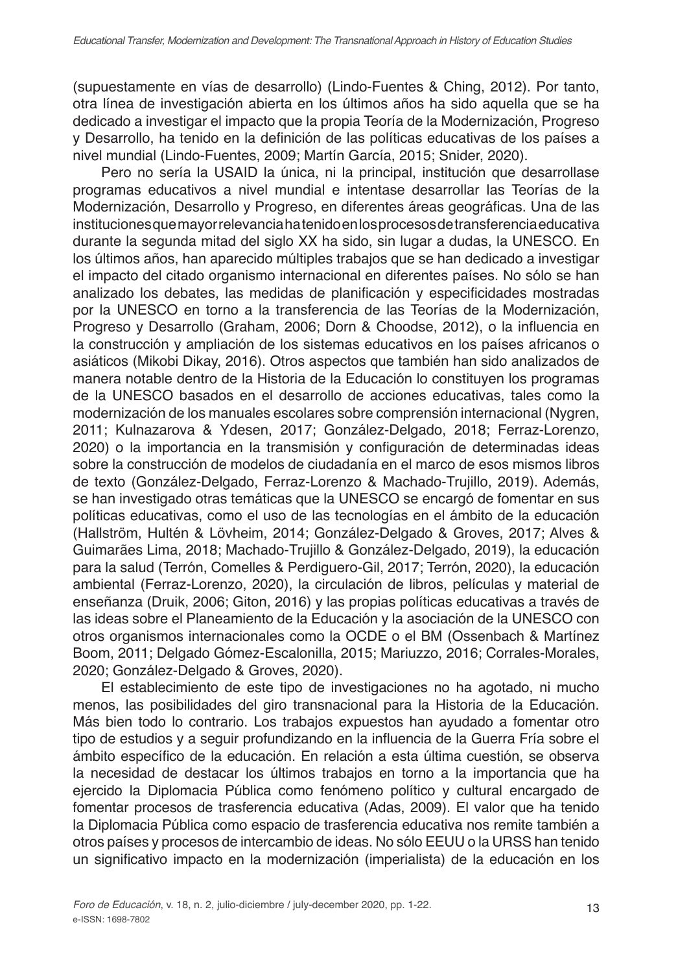(supuestamente en vías de desarrollo) (Lindo-Fuentes & Ching, 2012). Por tanto, otra línea de investigación abierta en los últimos años ha sido aquella que se ha dedicado a investigar el impacto que la propia Teoría de la Modernización, Progreso y Desarrollo, ha tenido en la definición de las políticas educativas de los países a nivel mundial (Lindo-Fuentes, 2009; Martín García, 2015; Snider, 2020).

Pero no sería la USAID la única, ni la principal, institución que desarrollase programas educativos a nivel mundial e intentase desarrollar las Teorías de la Modernización, Desarrollo y Progreso, en diferentes áreas geográficas. Una de las instituciones que mayor relevancia ha tenido en los procesos de transferencia educativa durante la segunda mitad del siglo XX ha sido, sin lugar a dudas, la UNESCO. En los últimos años, han aparecido múltiples trabajos que se han dedicado a investigar el impacto del citado organismo internacional en diferentes países. No sólo se han analizado los debates, las medidas de planificación y especificidades mostradas por la UNESCO en torno a la transferencia de las Teorías de la Modernización, Progreso y Desarrollo (Graham, 2006; Dorn & Choodse, 2012), o la influencia en la construcción y ampliación de los sistemas educativos en los países africanos o asiáticos (Mikobi Dikay, 2016). Otros aspectos que también han sido analizados de manera notable dentro de la Historia de la Educación lo constituyen los programas de la UNESCO basados en el desarrollo de acciones educativas, tales como la modernización de los manuales escolares sobre comprensión internacional (Nygren, 2011; Kulnazarova & Ydesen, 2017; González-Delgado, 2018; Ferraz-Lorenzo, 2020) o la importancia en la transmisión y configuración de determinadas ideas sobre la construcción de modelos de ciudadanía en el marco de esos mismos libros de texto (González-Delgado, Ferraz-Lorenzo & Machado-Trujillo, 2019). Además, se han investigado otras temáticas que la UNESCO se encargó de fomentar en sus políticas educativas, como el uso de las tecnologías en el ámbito de la educación (Hallström, Hultén & Lövheim, 2014; González-Delgado & Groves, 2017; Alves & Guimarães Lima, 2018; Machado-Trujillo & González-Delgado, 2019), la educación para la salud (Terrón, Comelles & Perdiguero-Gil, 2017; Terrón, 2020), la educación ambiental (Ferraz-Lorenzo, 2020), la circulación de libros, películas y material de enseñanza (Druik, 2006; Giton, 2016) y las propias políticas educativas a través de las ideas sobre el Planeamiento de la Educación y la asociación de la UNESCO con otros organismos internacionales como la OCDE o el BM (Ossenbach & Martínez Boom, 2011; Delgado Gómez-Escalonilla, 2015; Mariuzzo, 2016; Corrales-Morales, 2020; González-Delgado & Groves, 2020).

El establecimiento de este tipo de investigaciones no ha agotado, ni mucho menos, las posibilidades del giro transnacional para la Historia de la Educación. Más bien todo lo contrario. Los trabajos expuestos han ayudado a fomentar otro tipo de estudios y a seguir profundizando en la influencia de la Guerra Fría sobre el ámbito específico de la educación. En relación a esta última cuestión, se observa la necesidad de destacar los últimos trabajos en torno a la importancia que ha ejercido la Diplomacia Pública como fenómeno político y cultural encargado de fomentar procesos de trasferencia educativa (Adas, 2009). El valor que ha tenido la Diplomacia Pública como espacio de trasferencia educativa nos remite también a otros países y procesos de intercambio de ideas. No sólo EEUU o la URSS han tenido un significativo impacto en la modernización (imperialista) de la educación en los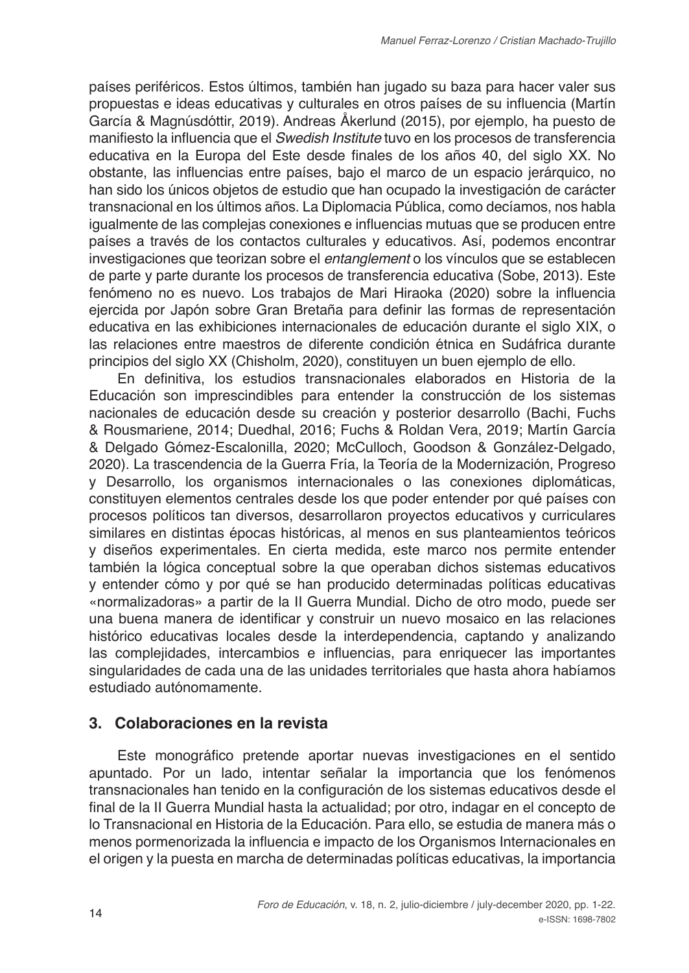países periféricos. Estos últimos, también han jugado su baza para hacer valer sus propuestas e ideas educativas y culturales en otros países de su influencia (Martín García & Magnúsdóttir, 2019). Andreas Åkerlund (2015), por ejemplo, ha puesto de manifiesto la influencia que el *Swedish Institute* tuvo en los procesos de transferencia educativa en la Europa del Este desde finales de los años 40, del siglo XX. No obstante, las influencias entre países, bajo el marco de un espacio jerárquico, no han sido los únicos objetos de estudio que han ocupado la investigación de carácter transnacional en los últimos años. La Diplomacia Pública, como decíamos, nos habla igualmente de las complejas conexiones e influencias mutuas que se producen entre países a través de los contactos culturales y educativos. Así, podemos encontrar investigaciones que teorizan sobre el *entanglement* o los vínculos que se establecen de parte y parte durante los procesos de transferencia educativa (Sobe, 2013). Este fenómeno no es nuevo. Los trabajos de Mari Hiraoka (2020) sobre la influencia ejercida por Japón sobre Gran Bretaña para definir las formas de representación educativa en las exhibiciones internacionales de educación durante el siglo XIX, o las relaciones entre maestros de diferente condición étnica en Sudáfrica durante principios del siglo XX (Chisholm, 2020), constituyen un buen ejemplo de ello.

En definitiva, los estudios transnacionales elaborados en Historia de la Educación son imprescindibles para entender la construcción de los sistemas nacionales de educación desde su creación y posterior desarrollo (Bachi, Fuchs & Rousmariene, 2014; Duedhal, 2016; Fuchs & Roldan Vera, 2019; Martín García & Delgado Gómez-Escalonilla, 2020; McCulloch, Goodson & González-Delgado, 2020). La trascendencia de la Guerra Fría, la Teoría de la Modernización, Progreso y Desarrollo, los organismos internacionales o las conexiones diplomáticas, constituyen elementos centrales desde los que poder entender por qué países con procesos políticos tan diversos, desarrollaron proyectos educativos y curriculares similares en distintas épocas históricas, al menos en sus planteamientos teóricos y diseños experimentales. En cierta medida, este marco nos permite entender también la lógica conceptual sobre la que operaban dichos sistemas educativos y entender cómo y por qué se han producido determinadas políticas educativas «normalizadoras» a partir de la II Guerra Mundial. Dicho de otro modo, puede ser una buena manera de identificar y construir un nuevo mosaico en las relaciones histórico educativas locales desde la interdependencia, captando y analizando las complejidades, intercambios e influencias, para enriquecer las importantes singularidades de cada una de las unidades territoriales que hasta ahora habíamos estudiado autónomamente.

# **3. Colaboraciones en la revista**

Este monográfico pretende aportar nuevas investigaciones en el sentido apuntado. Por un lado, intentar señalar la importancia que los fenómenos transnacionales han tenido en la configuración de los sistemas educativos desde el final de la II Guerra Mundial hasta la actualidad; por otro, indagar en el concepto de lo Transnacional en Historia de la Educación. Para ello, se estudia de manera más o menos pormenorizada la influencia e impacto de los Organismos Internacionales en el origen y la puesta en marcha de determinadas políticas educativas, la importancia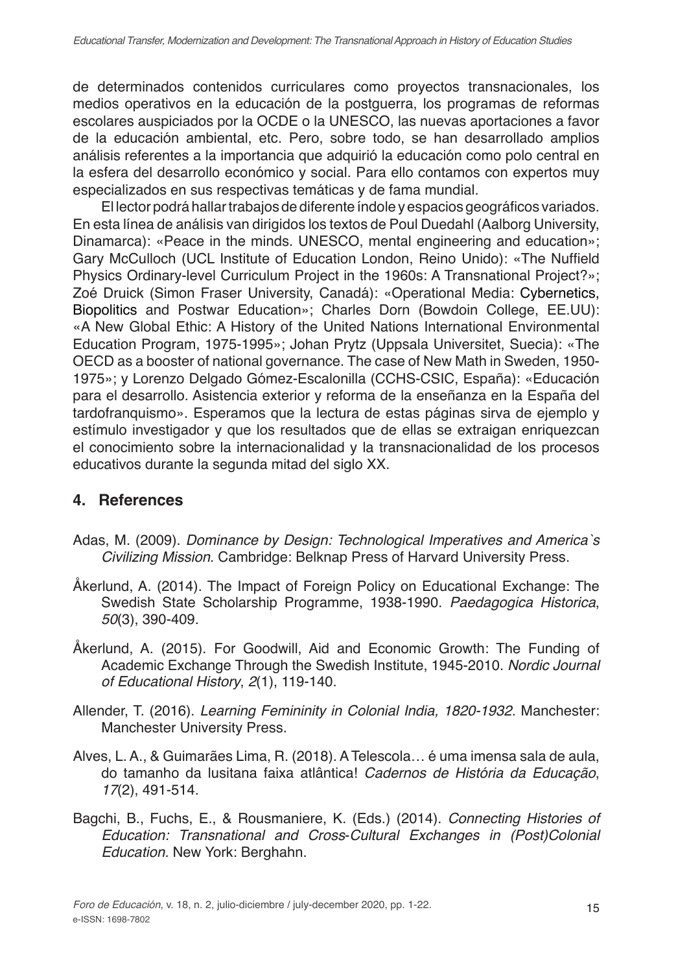de determinados contenidos curriculares como proyectos transnacionales, los medios operativos en la educación de la postguerra, los programas de reformas escolares auspiciados por la OCDE o la UNESCO, las nuevas aportaciones a favor de la educación ambiental, etc. Pero, sobre todo, se han desarrollado amplios análisis referentes a la importancia que adquirió la educación como polo central en la esfera del desarrollo económico y social. Para ello contamos con expertos muy especializados en sus respectivas temáticas y de fama mundial.

El lector podrá hallar trabajos de diferente índole y espacios geográficos variados. En esta línea de análisis van dirigidos los textos de Poul Duedahl (Aalborg University, Dinamarca): «Peace in the minds. UNESCO, mental engineering and education»; Gary McCulloch (UCL Institute of Education London, Reino Unido): «The Nuffield Physics Ordinary-level Curriculum Project in the 1960s: A Transnational Project?»; Zoé Druick (Simon Fraser University, Canadá): «Operational Media: Cybernetics, Biopolitics and Postwar Education»; Charles Dorn (Bowdoin College, EE.UU): «A New Global Ethic: A History of the United Nations International Environmental Education Program, 1975-1995»; Johan Prytz (Uppsala Universitet, Suecia): «The OECD as a booster of national governance. The case of New Math in Sweden, 1950- 1975»; y Lorenzo Delgado Gómez-Escalonilla (CCHS-CSIC, España): «Educación para el desarrollo. Asistencia exterior y reforma de la enseñanza en la España del tardofranquismo». Esperamos que la lectura de estas páginas sirva de ejemplo y estímulo investigador y que los resultados que de ellas se extraigan enriquezcan el conocimiento sobre la internacionalidad y la transnacionalidad de los procesos educativos durante la segunda mitad del siglo XX.

# **4. References**

- Adas, M. (2009). *Dominance by Design: Technological Imperatives and America`s Civilizing Mission*. Cambridge: Belknap Press of Harvard University Press.
- Åkerlund, A. (2014). The Impact of Foreign Policy on Educational Exchange: The Swedish State Scholarship Programme, 1938-1990. *Paedagogica Historica*, *50*(3), 390-409.
- Åkerlund, A. (2015). For Goodwill, Aid and Economic Growth: The Funding of Academic Exchange Through the Swedish Institute, 1945-2010. *Nordic Journal of Educational History*, *2*(1), 119-140.
- Allender, T. (2016). *Learning Femininity in Colonial India, 1820-1932*. Manchester: Manchester University Press.
- Alves, L. A., & Guimarães Lima, R. (2018). A Telescola… é uma imensa sala de aula, do tamanho da lusitana faixa atlântica! *Cadernos de História da Educação*, *17*(2), 491-514.
- Bagchi, B., Fuchs, E., & Rousmaniere, K. (Eds.) (2014). *Connecting Histories of Education: Transnational and Cross*-*Cultural Exchanges in (Post)Colonial Education.* New York: Berghahn.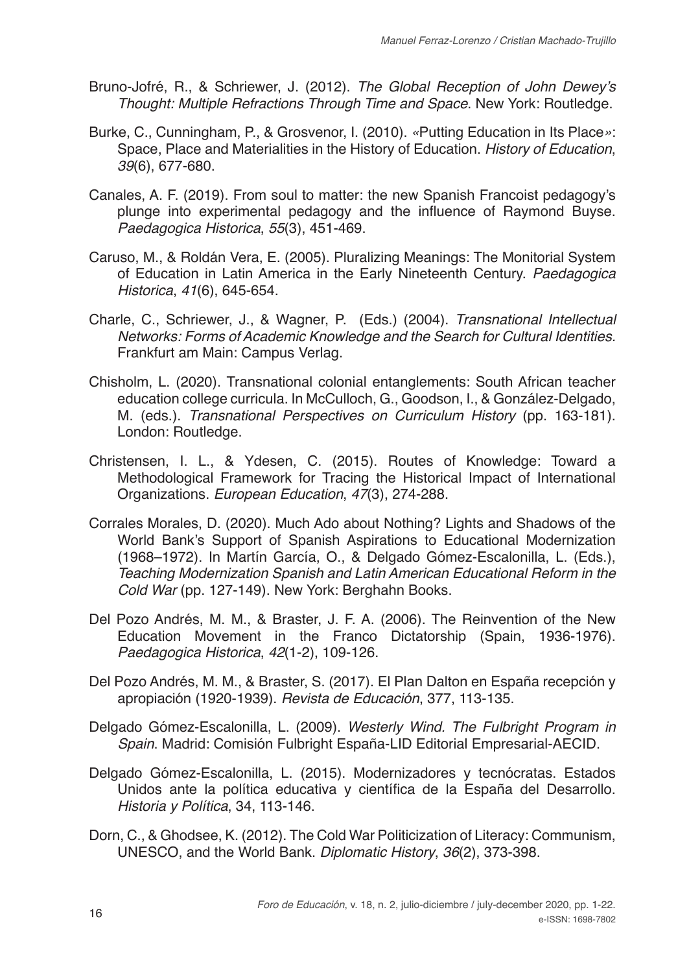- Bruno-Jofré, R., & Schriewer, J. (2012). The Global Reception of John Dewey's *Thought: Multiple Refractions Through Time and Space*. New York: Routledge.
- Burke, C., Cunningham, P., & Grosvenor, I. (2010). *«*Putting Education in Its Place*»*: Space, Place and Materialities in the History of Education. *History of Education*, *39*(6), 677-680.
- Canales, A. F. (2019). From soul to matter: the new Spanish Francoist pedagogy's plunge into experimental pedagogy and the influence of Raymond Buyse. *Paedagogica Historica*, *55*(3), 451-469.
- Caruso, M., & Roldán Vera, E. (2005). Pluralizing Meanings: The Monitorial System of Education in Latin America in the Early Nineteenth Century. *Paedagogica Historica*, *41*(6), 645-654.
- Charle, C., Schriewer, J., & Wagner, P. (Eds.) (2004). *Transnational Intellectual Networks: Forms of Academic Knowledge and the Search for Cultural Identities.*  Frankfurt am Main: Campus Verlag.
- Chisholm, L. (2020). Transnational colonial entanglements: South African teacher education college curricula. In McCulloch, G., Goodson, I., & González-Delgado, M. (eds.). *Transnational Perspectives on Curriculum History* (pp. 163-181). London: Routledge.
- Christensen, I. L., & Ydesen, C. (2015). Routes of Knowledge: Toward a Methodological Framework for Tracing the Historical Impact of International Organizations. *European Education*, *47*(3), 274-288.
- Corrales Morales, D. (2020). Much Ado about Nothing? Lights and Shadows of the World Bank's Support of Spanish Aspirations to Educational Modernization (1968–1972). In Martín García, O., & Delgado Gómez-Escalonilla, L. (Eds.), *Teaching Modernization Spanish and Latin American Educational Reform in the Cold War* (pp. 127-149). New York: Berghahn Books.
- Del Pozo Andrés, M. M., & Braster, J. F. A. (2006). The Reinvention of the New Education Movement in the Franco Dictatorship (Spain, 1936-1976). *Paedagogica Historica*, *42*(1-2), 109-126.
- Del Pozo Andrés, M. M., & Braster, S. (2017). El Plan Dalton en España recepción y apropiación (1920-1939). *Revista de Educación*, 377, 113-135.
- Delgado Gómez-Escalonilla, L. (2009). *Westerly Wind. The Fulbright Program in Spain*. Madrid: Comisión Fulbright España-LID Editorial Empresarial-AECID.
- Delgado Gómez-Escalonilla, L. (2015). Modernizadores y tecnócratas. Estados Unidos ante la política educativa y científica de la España del Desarrollo. *Historia y Política*, 34, 113-146.
- Dorn, C., & Ghodsee, K. (2012). The Cold War Politicization of Literacy: Communism, UNESCO, and the World Bank. *Diplomatic History*, *36*(2), 373-398.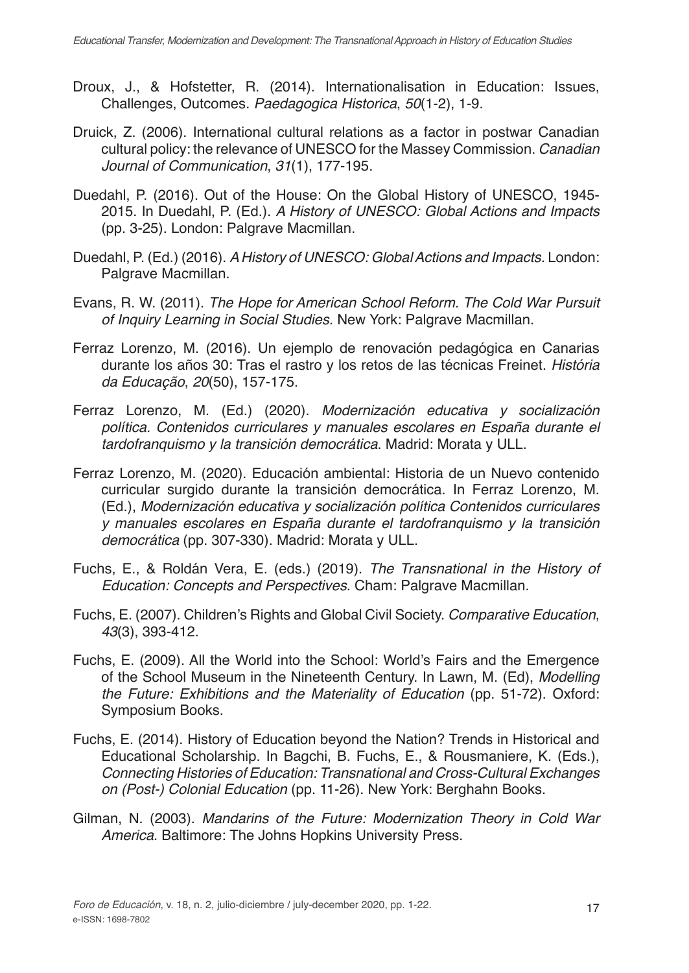- Droux, J., & Hofstetter, R. (2014). Internationalisation in Education: Issues, Challenges, Outcomes. *Paedagogica Historica*, *50*(1-2), 1-9.
- Druick, Z. (2006). International cultural relations as a factor in postwar Canadian cultural policy: the relevance of UNESCO for the Massey Commission. *Canadian Journal of Communication*, *31*(1), 177-195.
- Duedahl, P. (2016). Out of the House: On the Global History of UNESCO, 1945- 2015. In Duedahl, P. (Ed.). *A History of UNESCO: Global Actions and Impacts* (pp. 3-25). London: Palgrave Macmillan.
- Duedahl, P. (Ed.) (2016). *A History of UNESCO: Global Actions and Impacts.* London: Palgrave Macmillan.
- Evans, R. W. (2011). *The Hope for American School Reform. The Cold War Pursuit of Inquiry Learning in Social Studies.* New York: Palgrave Macmillan.
- Ferraz Lorenzo, M. (2016). Un ejemplo de renovación pedagógica en Canarias durante los años 30: Tras el rastro y los retos de las técnicas Freinet. *História da Educação*, *20*(50), 157-175.
- Ferraz Lorenzo, M. (Ed.) (2020). *Modernización educativa y socialización política. Contenidos curriculares y manuales escolares en España durante el tardofranquismo y la transición democrática*. Madrid: Morata y ULL.
- Ferraz Lorenzo, M. (2020). Educación ambiental: Historia de un Nuevo contenido curricular surgido durante la transición democrática. In Ferraz Lorenzo, M. (Ed.), *Modernización educativa y socialización política Contenidos curriculares y manuales escolares en España durante el tardofranquismo y la transición democrática* (pp. 307-330). Madrid: Morata y ULL.
- Fuchs, E., & Roldán Vera, E. (eds.) (2019). *The Transnational in the History of Education: Concepts and Perspectives*. Cham: Palgrave Macmillan.
- Fuchs, E. (2007). Children's Rights and Global Civil Society. *Comparative Education*, *43*(3), 393-412.
- Fuchs, E. (2009). All the World into the School: World's Fairs and the Emergence of the School Museum in the Nineteenth Century. In Lawn, M. (Ed), *Modelling the Future: Exhibitions and the Materiality of Education* (pp. 51-72). Oxford: Symposium Books.
- Fuchs, E. (2014). History of Education beyond the Nation? Trends in Historical and Educational Scholarship. In Bagchi, B. Fuchs, E., & Rousmaniere, K. (Eds.), *Connecting Histories of Education: Transnational and Cross-Cultural Exchanges on (Post-) Colonial Education* (pp. 11-26). New York: Berghahn Books.
- Gilman, N. (2003). *Mandarins of the Future: Modernization Theory in Cold War America*. Baltimore: The Johns Hopkins University Press.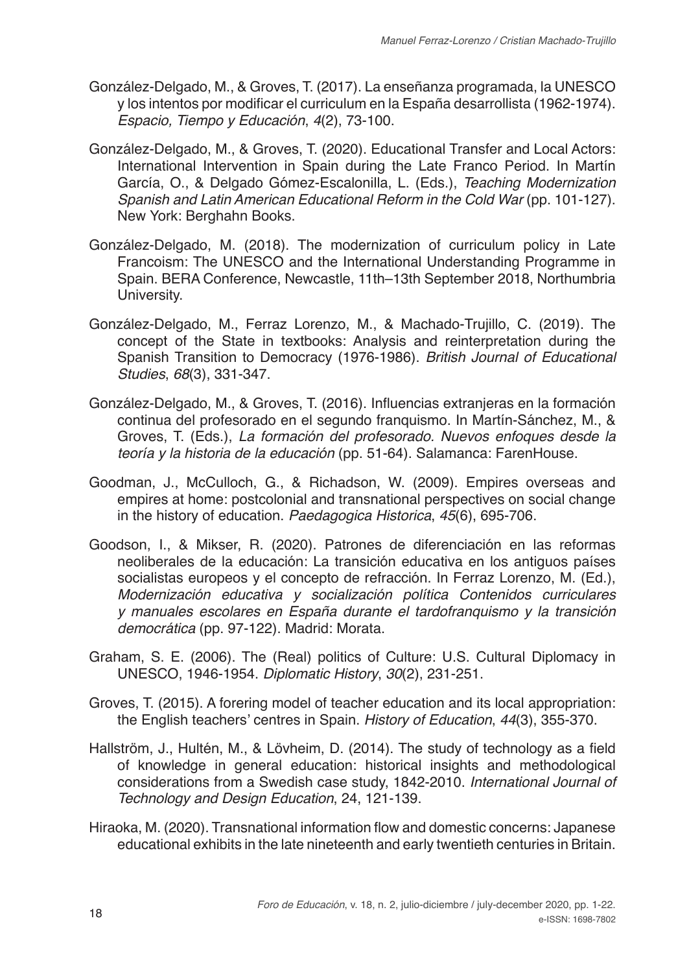- González-Delgado, M., & Groves, T. (2017). La enseñanza programada, la UNESCO y los intentos por modificar el curriculum en la España desarrollista (1962-1974). *Espacio, Tiempo y Educación*, *4*(2), 73-100.
- González-Delgado, M., & Groves, T. (2020). Educational Transfer and Local Actors: International Intervention in Spain during the Late Franco Period. In Martín García, O., & Delgado Gómez-Escalonilla, L. (Eds.), *Teaching Modernization Spanish and Latin American Educational Reform in the Cold War* (pp. 101-127). New York: Berghahn Books.
- González-Delgado, M. (2018). The modernization of curriculum policy in Late Francoism: The UNESCO and the International Understanding Programme in Spain. BERA Conference, Newcastle, 11th–13th September 2018, Northumbria University.
- González-Delgado, M., Ferraz Lorenzo, M., & Machado-Trujillo, C. (2019). The concept of the State in textbooks: Analysis and reinterpretation during the Spanish Transition to Democracy (1976-1986). *British Journal of Educational Studies*, *68*(3), 331-347.
- González-Delgado, M., & Groves, T. (2016). Influencias extranjeras en la formación continua del profesorado en el segundo franquismo. In Martín-Sánchez, M., & Groves, T. (Eds.), *La formación del profesorado. Nuevos enfoques desde la teoría y la historia de la educación* (pp. 51-64). Salamanca: FarenHouse.
- Goodman, J., McCulloch, G., & Richadson, W. (2009). Empires overseas and empires at home: postcolonial and transnational perspectives on social change in the history of education. *Paedagogica Historica*, *45*(6), 695-706.
- Goodson, I., & Mikser, R. (2020). Patrones de diferenciación en las reformas neoliberales de la educación: La transición educativa en los antiguos países socialistas europeos y el concepto de refracción. In Ferraz Lorenzo, M. (Ed.), *Modernización educativa y socialización política Contenidos curriculares y manuales escolares en España durante el tardofranquismo y la transición democrática* (pp. 97-122). Madrid: Morata.
- Graham, S. E. (2006). The (Real) politics of Culture: U.S. Cultural Diplomacy in UNESCO, 1946-1954. *Diplomatic History*, *30*(2), 231-251.
- Groves, T. (2015). A forering model of teacher education and its local appropriation: the English teachers' centres in Spain. *History of Education*, *44*(3), 355-370.
- Hallström, J., Hultén, M., & Lövheim, D. (2014). The study of technology as a field of knowledge in general education: historical insights and methodological considerations from a Swedish case study, 1842-2010. *International Journal of Technology and Design Education*, 24, 121-139.
- Hiraoka, M. (2020). Transnational information flow and domestic concerns: Japanese educational exhibits in the late nineteenth and early twentieth centuries in Britain.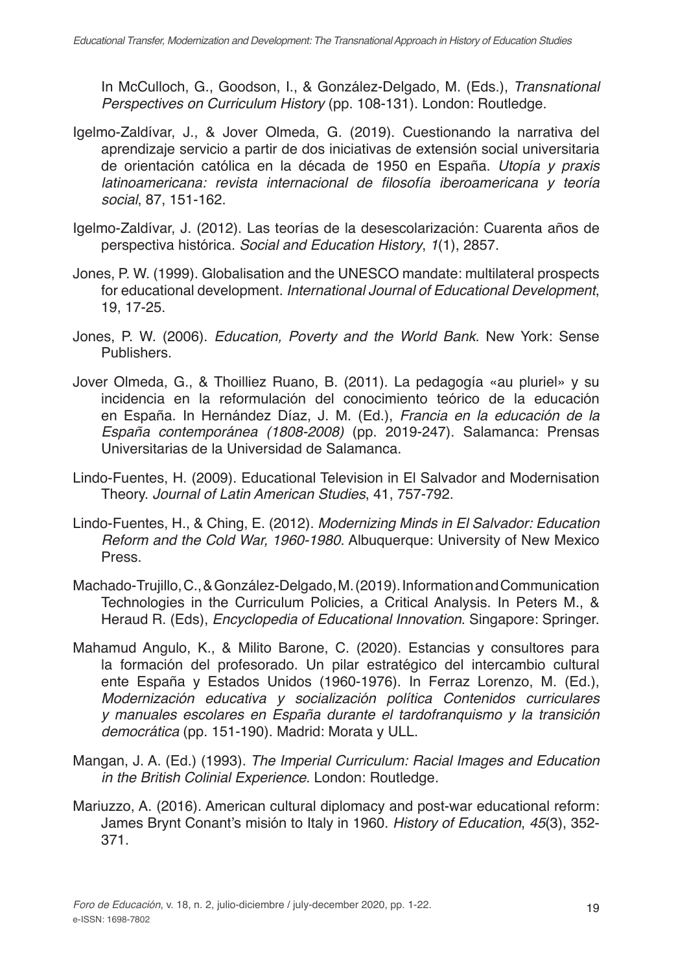In McCulloch, G., Goodson, I., & González-Delgado, M. (Eds.), *Transnational Perspectives on Curriculum History* (pp. 108-131). London: Routledge.

- Igelmo-Zaldívar, J., & Jover Olmeda, G. (2019). Cuestionando la narrativa del aprendizaje servicio a partir de dos iniciativas de extensión social universitaria de orientación católica en la década de 1950 en España. *Utopía y praxis*  latinoamericana: revista internacional de filosofía iberoamericana y teoría *social*, 87, 151-162.
- Igelmo-Zaldívar, J. (2012). Las teorías de la desescolarización: Cuarenta años de perspectiva histórica. *Social and Education History*, *1*(1), 2857.
- Jones, P. W. (1999). Globalisation and the UNESCO mandate: multilateral prospects for educational development. *International Journal of Educational Development*, 19, 17-25.
- Jones, P. W. (2006). *Education, Poverty and the World Bank*. New York: Sense Publishers.
- Jover Olmeda, G., & Thoilliez Ruano, B. (2011). La pedagogía «au pluriel» y su incidencia en la reformulación del conocimiento teórico de la educación en España. In Hernández Díaz, J. M. (Ed.), *Francia en la educación de la España contemporánea (1808-2008)* (pp. 2019-247). Salamanca: Prensas Universitarias de la Universidad de Salamanca.
- Lindo-Fuentes, H. (2009). Educational Television in El Salvador and Modernisation Theory. *Journal of Latin American Studies*, 41, 757-792.
- Lindo-Fuentes, H., & Ching, E. (2012). *Modernizing Minds in El Salvador: Education Reform and the Cold War, 1960-1980*. Albuquerque: University of New Mexico Press.
- Machado-Trujillo, C., & González-Delgado, M. (2019). Information and Communication Technologies in the Curriculum Policies, a Critical Analysis. In Peters M., & Heraud R. (Eds), *Encyclopedia of Educational Innovation*. Singapore: Springer.
- Mahamud Angulo, K., & Milito Barone, C. (2020). Estancias y consultores para la formación del profesorado. Un pilar estratégico del intercambio cultural ente España y Estados Unidos (1960-1976). In Ferraz Lorenzo, M. (Ed.), *Modernización educativa y socialización política Contenidos curriculares y manuales escolares en España durante el tardofranquismo y la transición democrática* (pp. 151-190). Madrid: Morata y ULL.
- Mangan, J. A. (Ed.) (1993). *The Imperial Curriculum: Racial Images and Education in the British Colinial Experience*. London: Routledge.
- Mariuzzo, A. (2016). American cultural diplomacy and post-war educational reform: James Brynt Conant's misión to Italy in 1960. *History of Education*, *45*(3), 352- 371.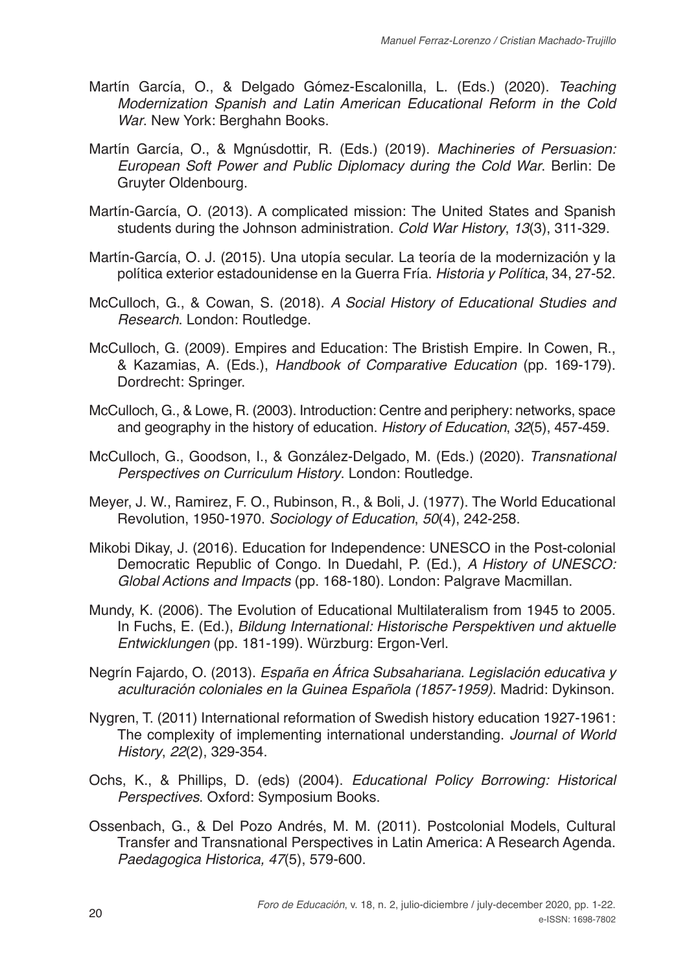- Martín García, O., & Delgado Gómez-Escalonilla, L. (Eds.) (2020). *Teaching Modernization Spanish and Latin American Educational Reform in the Cold War*. New York: Berghahn Books.
- Martín García, O., & Mgnúsdottir, R. (Eds.) (2019). *Machineries of Persuasion: European Soft Power and Public Diplomacy during the Cold War*. Berlin: De Gruyter Oldenbourg.
- Martín-García, O. (2013). A complicated mission: The United States and Spanish students during the Johnson administration. *Cold War History*, *13*(3), 311-329.
- Martín-García, O. J. (2015). Una utopía secular. La teoría de la modernización y la política exterior estadounidense en la Guerra Fría. *Historia y Política*, 34, 27-52.
- McCulloch, G., & Cowan, S. (2018). *A Social History of Educational Studies and Research*. London: Routledge.
- McCulloch, G. (2009). Empires and Education: The Bristish Empire. In Cowen, R., & Kazamias, A. (Eds.), *Handbook of Comparative Education* (pp. 169-179). Dordrecht: Springer.
- McCulloch, G., & Lowe, R. (2003). Introduction: Centre and periphery: networks, space and geography in the history of education. *History of Education*, *32*(5), 457-459.
- McCulloch, G., Goodson, I., & González-Delgado, M. (Eds.) (2020). *Transnational Perspectives on Curriculum History*. London: Routledge.
- Meyer, J. W., Ramirez, F. O., Rubinson, R., & Boli, J. (1977). The World Educational Revolution, 1950-1970. *Sociology of Education*, *50*(4), 242-258.
- Mikobi Dikay, J. (2016). Education for Independence: UNESCO in the Post-colonial Democratic Republic of Congo. In Duedahl, P. (Ed.), *A History of UNESCO: Global Actions and Impacts* (pp. 168-180). London: Palgrave Macmillan.
- Mundy, K. (2006). The Evolution of Educational Multilateralism from 1945 to 2005. In Fuchs, E. (Ed.), *Bildung International: Historische Perspektiven und aktuelle Entwicklungen* (pp. 181-199). Würzburg: Ergon-Verl.
- Negrín Fajardo, O. (2013). *España en África Subsahariana. Legislación educativa y aculturación coloniales en la Guinea Española (1857-1959)*. Madrid: Dykinson.
- Nygren, T. (2011) International reformation of Swedish history education 1927-1961: The complexity of implementing international understanding. *Journal of World History*, *22*(2), 329-354.
- Ochs, K., & Phillips, D. (eds) (2004). *Educational Policy Borrowing: Historical Perspectives*. Oxford: Symposium Books.
- Ossenbach, G., & Del Pozo Andrés, M. M. (2011). Postcolonial Models, Cultural Transfer and Transnational Perspectives in Latin America: A Research Agenda. *Paedagogica Historica, 47*(5), 579-600.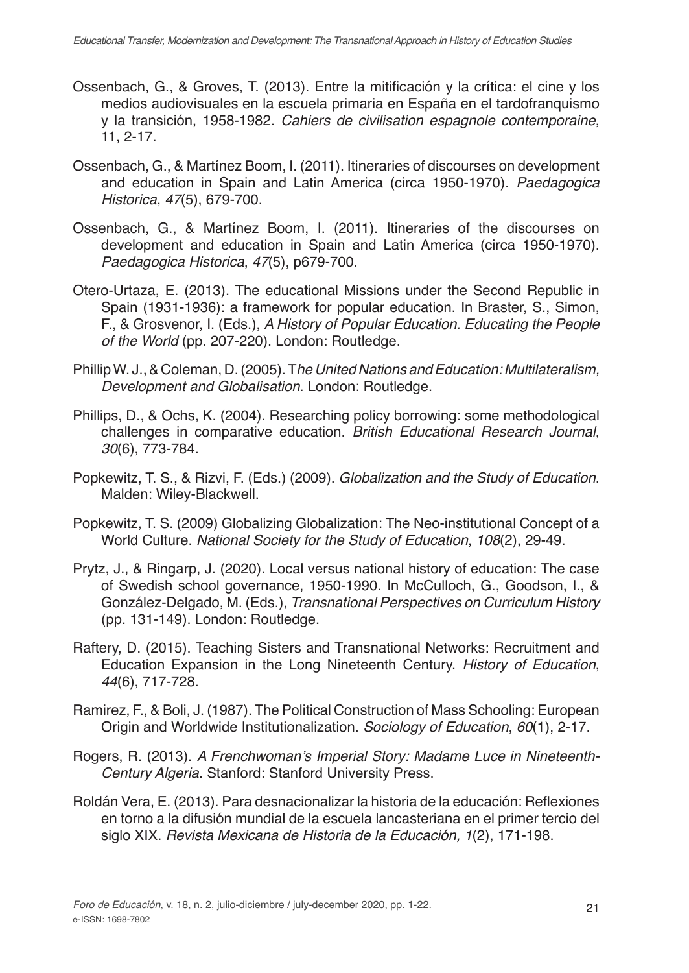- Ossenbach, G., & Groves, T. (2013). Entre la mitificación y la crítica: el cine y los medios audiovisuales en la escuela primaria en España en el tardofranquismo y la transición, 1958-1982. *Cahiers de civilisation espagnole contemporaine*, 11, 2-17.
- Ossenbach, G., & Martínez Boom, I. (2011). Itineraries of discourses on development and education in Spain and Latin America (circa 1950-1970). *Paedagogica Historica*, *47*(5), 679-700.
- Ossenbach, G., & Martínez Boom, I. (2011). Itineraries of the discourses on development and education in Spain and Latin America (circa 1950-1970). *Paedagogica Historica*, *47*(5), p679-700.
- Otero-Urtaza, E. (2013). The educational Missions under the Second Republic in Spain (1931-1936): a framework for popular education. In Braster, S., Simon, F., & Grosvenor, I. (Eds.), *A History of Popular Education. Educating the People of the World* (pp. 207-220). London: Routledge.
- Phillip W. J., & Coleman, D. (2005). T*he United Nations and Education: Multilateralism, Development and Globalisation*. London: Routledge.
- Phillips, D., & Ochs, K. (2004). Researching policy borrowing: some methodological challenges in comparative education. *British Educational Research Journal*, *30*(6), 773-784.
- Popkewitz, T. S., & Rizvi, F. (Eds.) (2009). *Globalization and the Study of Education*. Malden: Wiley-Blackwell.
- Popkewitz, T. S. (2009) Globalizing Globalization: The Neo-institutional Concept of a World Culture. *National Society for the Study of Education*, *108*(2), 29-49.
- Prytz, J., & Ringarp, J. (2020). Local versus national history of education: The case of Swedish school governance, 1950-1990. In McCulloch, G., Goodson, I., & González-Delgado, M. (Eds.), *Transnational Perspectives on Curriculum History* (pp. 131-149). London: Routledge.
- Raftery, D. (2015). Teaching Sisters and Transnational Networks: Recruitment and Education Expansion in the Long Nineteenth Century. *History of Education*, *44*(6), 717-728.
- Ramirez, F., & Boli, J. (1987). The Political Construction of Mass Schooling: European Origin and Worldwide Institutionalization. *Sociology of Education*, *60*(1), 2-17.
- Rogers, R. (2013). A Frenchwoman's Imperial Story: Madame Luce in Nineteenth-*Century Algeria*. Stanford: Stanford University Press.
- Roldán Vera, E. (2013). Para desnacionalizar la historia de la educación: Reflexiones en torno a la difusión mundial de la escuela lancasteriana en el primer tercio del siglo XIX. *Revista Mexicana de Historia de la Educación, 1*(2), 171-198.